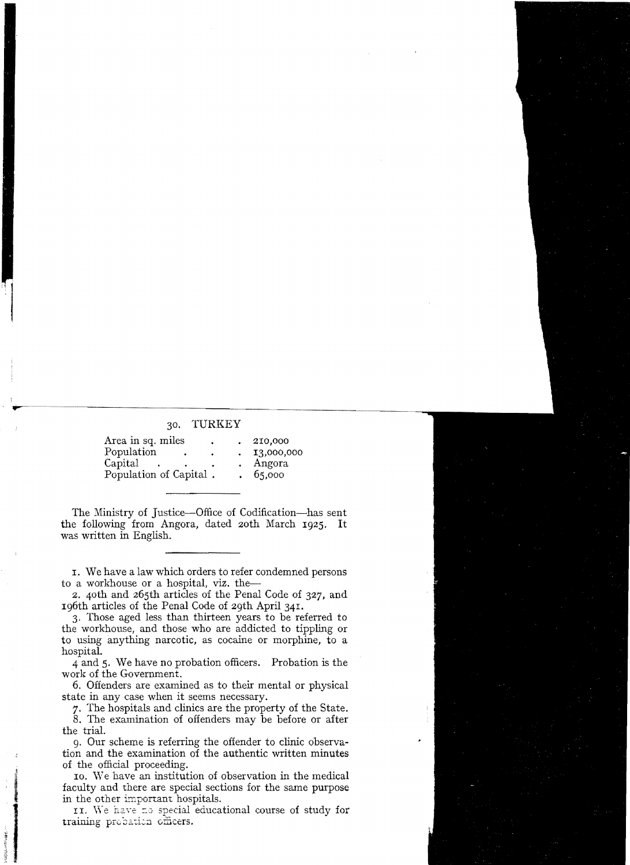## 30. TURKEY

| Area in sq. miles      | $\bullet$ | 210,000    |
|------------------------|-----------|------------|
| Population             | ۰         | 13,000,000 |
| Capital                |           | Angora     |
| Population of Capital. |           | 65,000     |

The Ministry of Justice—Office of Codification—has sent the following from Angora, dated 20th March 1925. It was written in English.

I. We have a law which orders to refer condemned persons to a workhouse or a hospital, viz. the-

2. 40th and 265th articles of the Penal Code of 327, and 196th articles of the Penal Code of 29th April 341.

3. Those aged less than thirteen years to be referred to the workhouse, and those who are addicted to tippling or to using anything narcotic, as cocaine or morphine, to a hospital.

4 and 5. We have no probation officers. Probation is the work of the Government.

6. Offenders are examined as to their mental or physical state in any case when it seems necessary.

7. The hospitals and clinics are the property of the State.

8. The examination of offenders may be before or after the trial.

g. Our scheme is referring the offender to clinic observation and the examination of the authentic written minutes of the official proceeding.

10. We have an institution of observation in the medical faculty and there are special sections for the same purpose in the other important hospitals.

II. We have no special educational course of study for training probation officers.